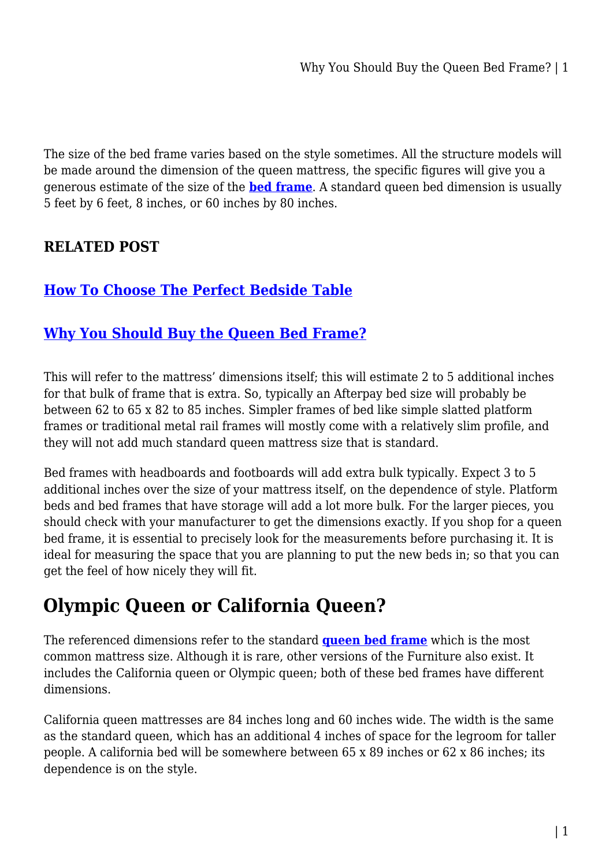The size of the bed frame varies based on the style sometimes. All the structure models will be made around the dimension of the queen mattress, the specific figures will give you a generous estimate of the size of the **[bed frame](https://mattressoffers.com.au/beds/bed-frame/)**. A standard queen bed dimension is usually 5 feet by 6 feet, 8 inches, or 60 inches by 80 inches.

#### **RELATED POST**

### **[How To Choose The Perfect Bedside Table](https://uniaustralia.com.au/how-to-choose-the-perfect-bedside-table/)**

#### **[Why You Should Buy the Queen Bed Frame?](https://uniaustralia.com.au/why-you-should-buy-the-queen-bed-frame/)**

This will refer to the mattress' dimensions itself; this will estimate 2 to 5 additional inches for that bulk of frame that is extra. So, typically an Afterpay bed size will probably be between 62 to 65 x 82 to 85 inches. Simpler frames of bed like simple slatted platform frames or traditional metal rail frames will mostly come with a relatively slim profile, and they will not add much standard queen mattress size that is standard.

Bed frames with headboards and footboards will add extra bulk typically. Expect 3 to 5 additional inches over the size of your mattress itself, on the dependence of style. Platform beds and bed frames that have storage will add a lot more bulk. For the larger pieces, you should check with your manufacturer to get the dimensions exactly. If you shop for a queen bed frame, it is essential to precisely look for the measurements before purchasing it. It is ideal for measuring the space that you are planning to put the new beds in; so that you can get the feel of how nicely they will fit.

## **Olympic Queen or California Queen?**

The referenced dimensions refer to the standard **[queen bed frame](https://mattressoffers.com.au/beds/bed-frame/queen-bed-frame/)** which is the most common mattress size. Although it is rare, other versions of the Furniture also exist. It includes the California queen or Olympic queen; both of these bed frames have different dimensions.

California queen mattresses are 84 inches long and 60 inches wide. The width is the same as the standard queen, which has an additional 4 inches of space for the legroom for taller people. A california bed will be somewhere between 65 x 89 inches or 62 x 86 inches; its dependence is on the style.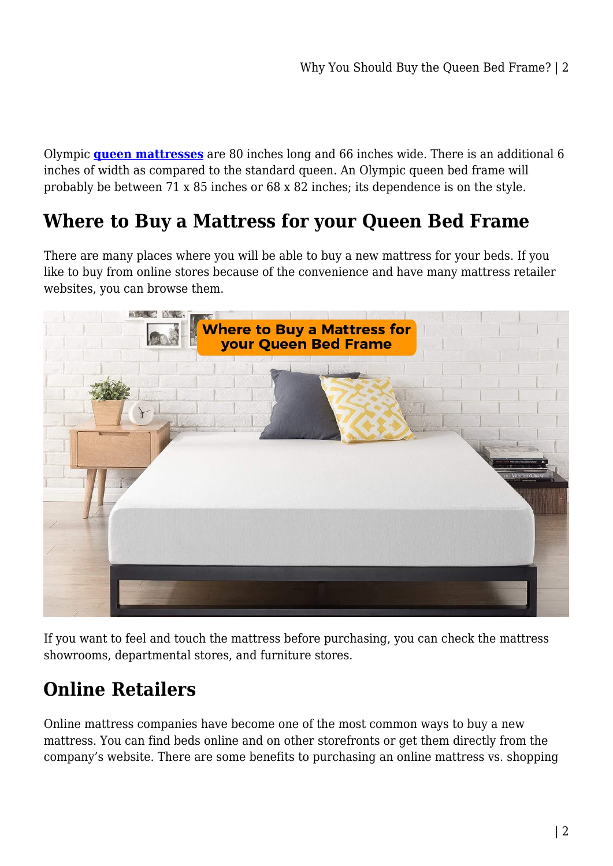Olympic **[queen mattresses](https://mattressoffers.com.au/mattress/queen-mattress/)** are 80 inches long and 66 inches wide. There is an additional 6 inches of width as compared to the standard queen. An Olympic queen bed frame will probably be between 71 x 85 inches or 68 x 82 inches; its dependence is on the style.

## **Where to Buy a Mattress for your Queen Bed Frame**

There are many places where you will be able to buy a new mattress for your beds. If you like to buy from online stores because of the convenience and have many mattress retailer websites, you can browse them.



If you want to feel and touch the mattress before purchasing, you can check the mattress showrooms, departmental stores, and furniture stores.

# **Online Retailers**

Online mattress companies have become one of the most common ways to buy a new mattress. You can find beds online and on other storefronts or get them directly from the company's website. There are some benefits to purchasing an online mattress vs. shopping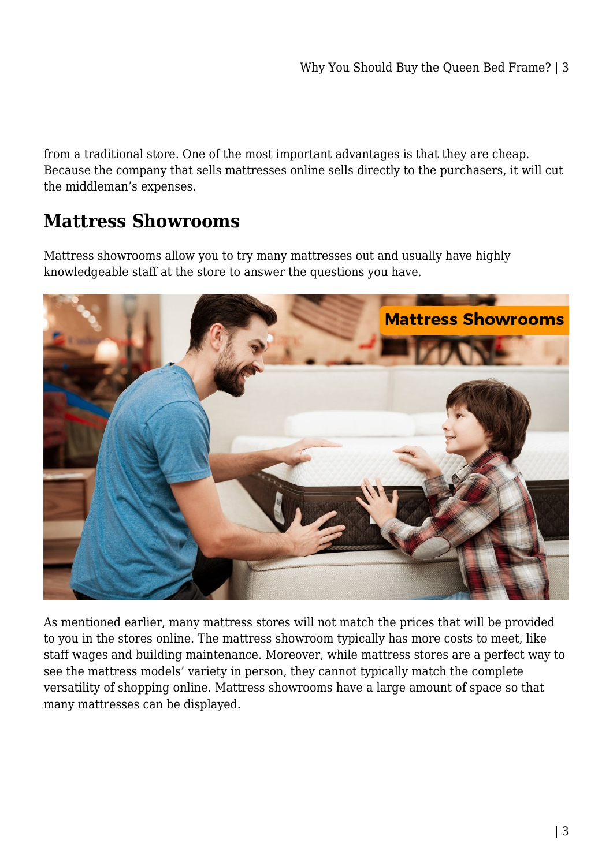from a traditional store. One of the most important advantages is that they are cheap. Because the company that sells mattresses online sells directly to the purchasers, it will cut the middleman's expenses.

## **Mattress Showrooms**

Mattress showrooms allow you to try many mattresses out and usually have highly knowledgeable staff at the store to answer the questions you have.



As mentioned earlier, many mattress stores will not match the prices that will be provided to you in the stores online. The mattress showroom typically has more costs to meet, like staff wages and building maintenance. Moreover, while mattress stores are a perfect way to see the mattress models' variety in person, they cannot typically match the complete versatility of shopping online. Mattress showrooms have a large amount of space so that many mattresses can be displayed.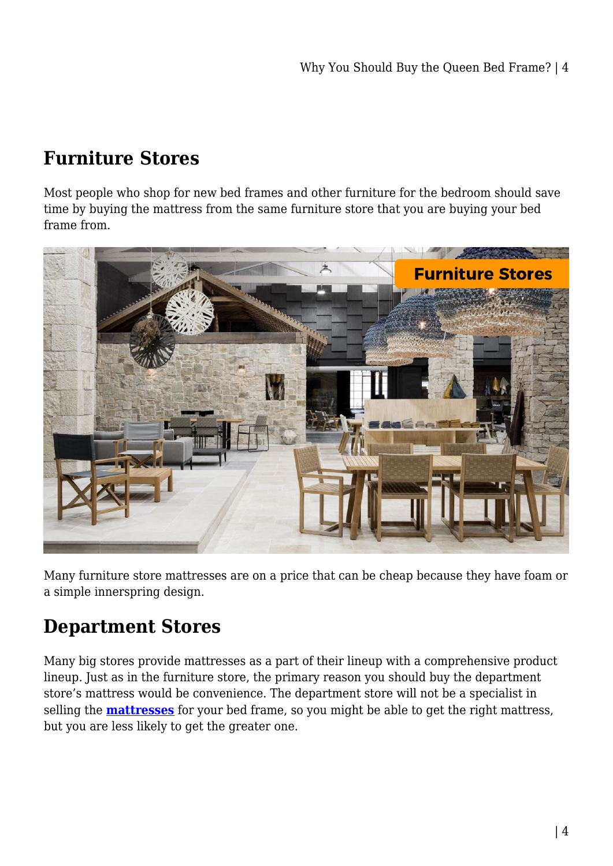# **Furniture Stores**

Most people who shop for new bed frames and other furniture for the bedroom should save time by buying the mattress from the same furniture store that you are buying your bed frame from.



Many furniture store mattresses are on a price that can be cheap because they have foam or a simple innerspring design.

# **Department Stores**

Many big stores provide mattresses as a part of their lineup with a comprehensive product lineup. Just as in the furniture store, the primary reason you should buy the department store's mattress would be convenience. The department store will not be a specialist in selling the **[mattresses](https://mattressoffers.com.au/mattress/)** for your bed frame, so you might be able to get the right mattress, but you are less likely to get the greater one.